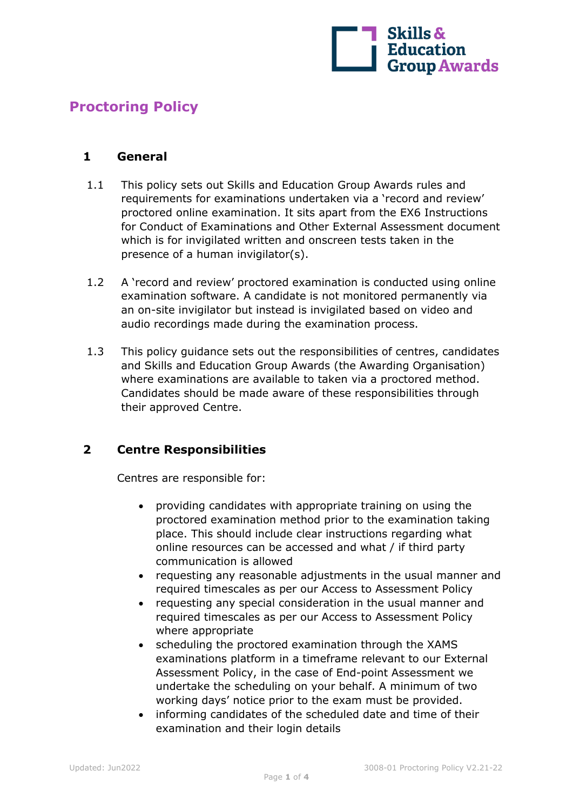

# **Proctoring Policy**

#### **1 General**

- 1.1 This policy sets out Skills and Education Group Awards rules and requirements for examinations undertaken via a 'record and review' proctored online examination. It sits apart from the EX6 Instructions for Conduct of Examinations and Other External Assessment document which is for invigilated written and onscreen tests taken in the presence of a human invigilator(s).
- 1.2 A 'record and review' proctored examination is conducted using online examination software. A candidate is not monitored permanently via an on-site invigilator but instead is invigilated based on video and audio recordings made during the examination process.
- 1.3 This policy guidance sets out the responsibilities of centres, candidates and Skills and Education Group Awards (the Awarding Organisation) where examinations are available to taken via a proctored method. Candidates should be made aware of these responsibilities through their approved Centre.

### **2 Centre Responsibilities**

Centres are responsible for:

- providing candidates with appropriate training on using the proctored examination method prior to the examination taking place. This should include clear instructions regarding what online resources can be accessed and what / if third party communication is allowed
- requesting any reasonable adjustments in the usual manner and required timescales as per our Access to Assessment Policy
- requesting any special consideration in the usual manner and required timescales as per our Access to Assessment Policy where appropriate
- scheduling the proctored examination through the XAMS examinations platform in a timeframe relevant to our External Assessment Policy, in the case of End-point Assessment we undertake the scheduling on your behalf. A minimum of two working days' notice prior to the exam must be provided.
- informing candidates of the scheduled date and time of their examination and their login details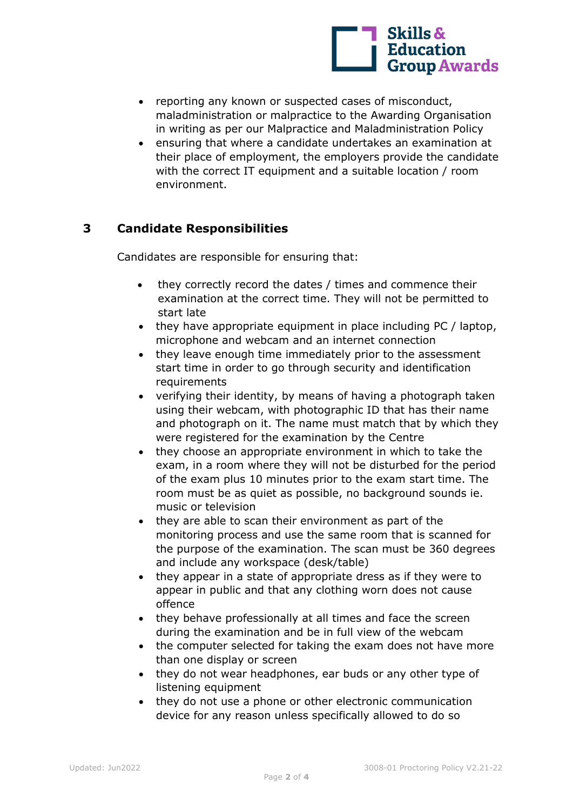

- reporting any known or suspected cases of misconduct, maladministration or malpractice to the Awarding Organisation in writing as per our Malpractice and Maladministration Policy
- ensuring that where a candidate undertakes an examination at their place of employment, the employers provide the candidate with the correct IT equipment and a suitable location / room environment.

## **3 Candidate Responsibilities**

Candidates are responsible for ensuring that:

- they correctly record the dates / times and commence their examination at the correct time. They will not be permitted to start late
- they have appropriate equipment in place including PC / laptop, microphone and webcam and an internet connection
- they leave enough time immediately prior to the assessment start time in order to go through security and identification requirements
- verifying their identity, by means of having a photograph taken using their webcam, with photographic ID that has their name and photograph on it. The name must match that by which they were registered for the examination by the Centre
- they choose an appropriate environment in which to take the exam, in a room where they will not be disturbed for the period of the exam plus 10 minutes prior to the exam start time. The room must be as quiet as possible, no background sounds ie. music or television
- they are able to scan their environment as part of the monitoring process and use the same room that is scanned for the purpose of the examination. The scan must be 360 degrees and include any workspace (desk/table)
- they appear in a state of appropriate dress as if they were to appear in public and that any clothing worn does not cause offence
- they behave professionally at all times and face the screen during the examination and be in full view of the webcam
- the computer selected for taking the exam does not have more than one display or screen
- they do not wear headphones, ear buds or any other type of listening equipment
- they do not use a phone or other electronic communication device for any reason unless specifically allowed to do so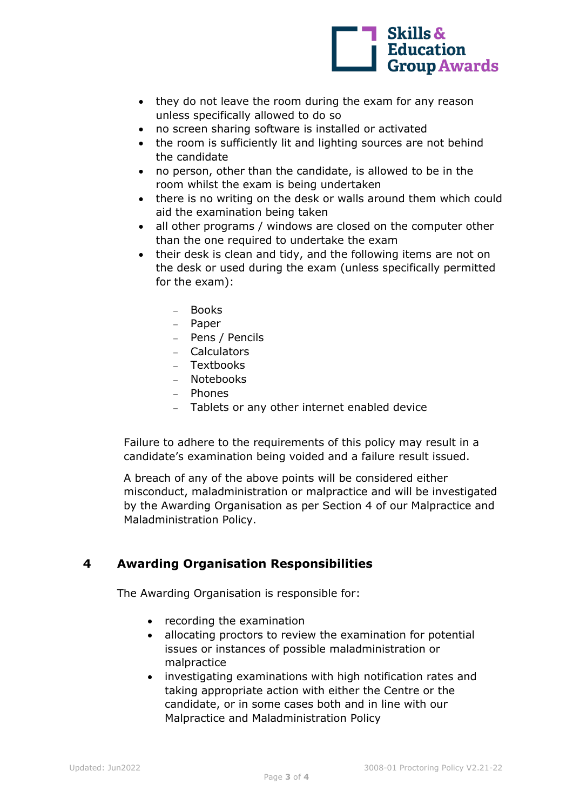

- they do not leave the room during the exam for any reason unless specifically allowed to do so
- no screen sharing software is installed or activated
- the room is sufficiently lit and lighting sources are not behind the candidate
- no person, other than the candidate, is allowed to be in the room whilst the exam is being undertaken
- there is no writing on the desk or walls around them which could aid the examination being taken
- all other programs / windows are closed on the computer other than the one required to undertake the exam
- their desk is clean and tidy, and the following items are not on the desk or used during the exam (unless specifically permitted for the exam):
	- − Books
	- − Paper
	- − Pens / Pencils
	- − Calculators
	- − Textbooks
	- − Notebooks
	- − Phones
	- − Tablets or any other internet enabled device

Failure to adhere to the requirements of this policy may result in a candidate's examination being voided and a failure result issued.

A breach of any of the above points will be considered either misconduct, maladministration or malpractice and will be investigated by the Awarding Organisation as per Section 4 of our Malpractice and Maladministration Policy.

### **4 Awarding Organisation Responsibilities**

The Awarding Organisation is responsible for:

- recording the examination
- allocating proctors to review the examination for potential issues or instances of possible maladministration or malpractice
- investigating examinations with high notification rates and taking appropriate action with either the Centre or the candidate, or in some cases both and in line with our Malpractice and Maladministration Policy